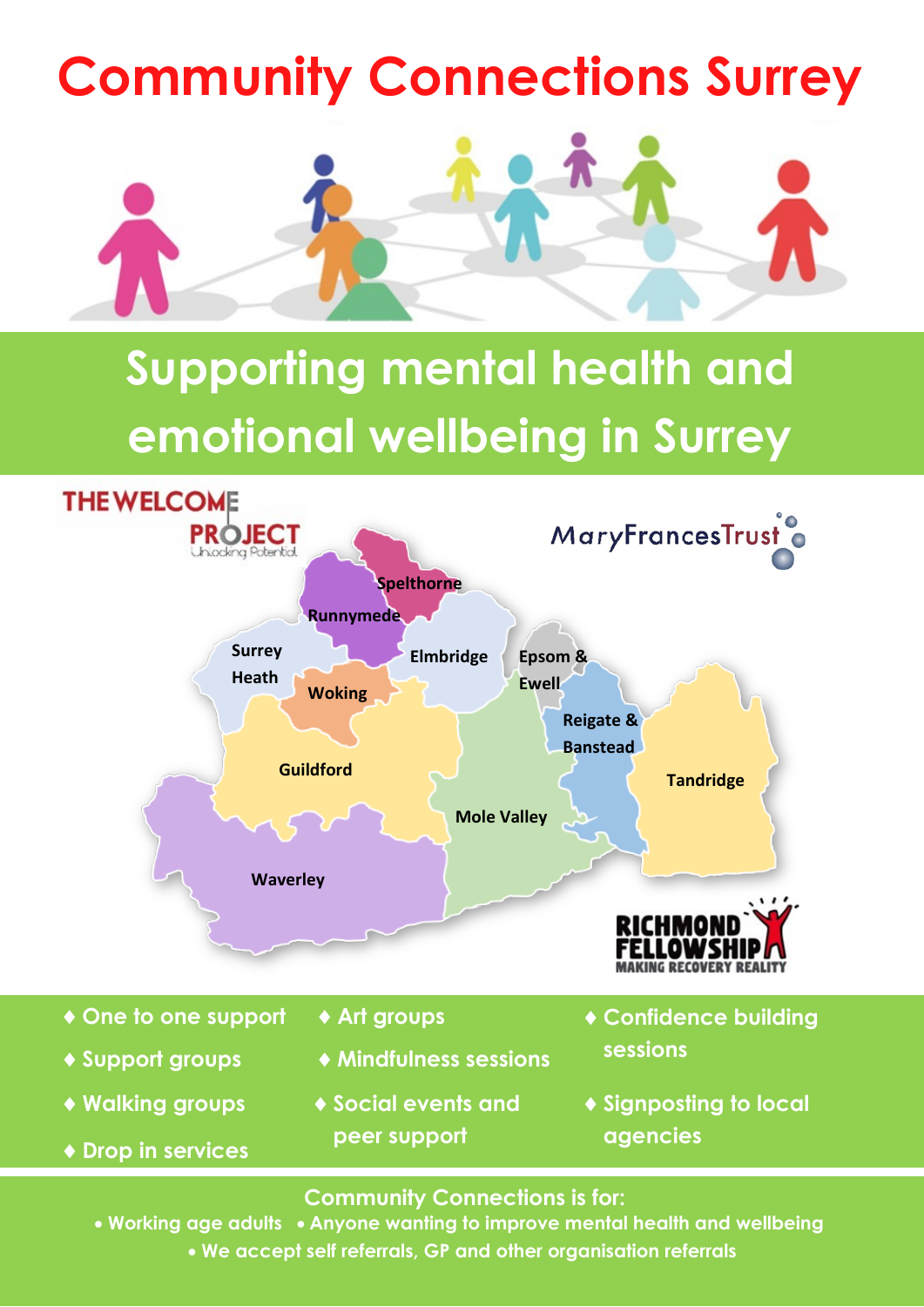## **Community Connections Surrey**



## **Supporting mental health and emotional wellbeing in Surrey**



**Community Connections is for:** 

 **Anyone wanting to improve mental health and wellbeing Working age adults Anyone wanting to improve mental health and wellbeing** • We accept self referrals, GP and other organisation referrals **we are solutionally as a set of the set of th**